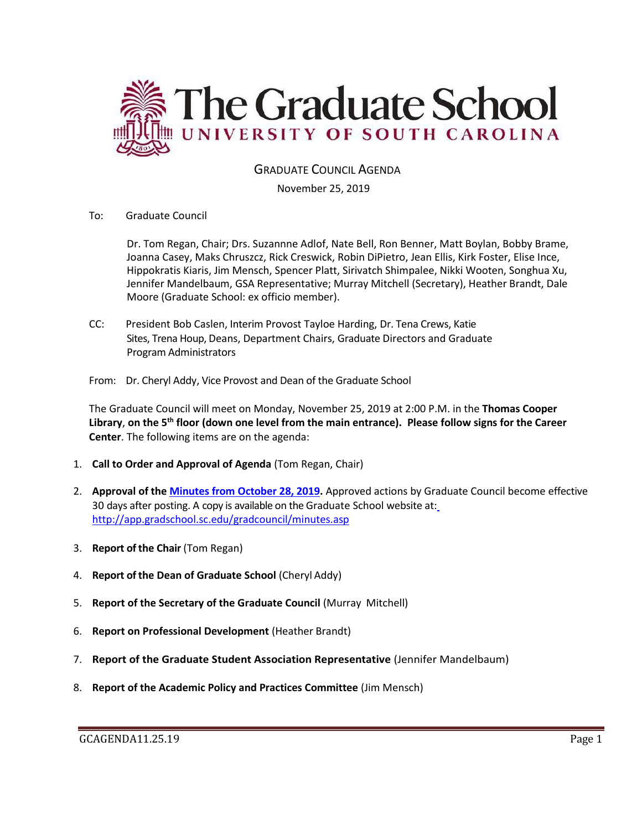

# GRADUATE COUNCIL AGENDA

November 25, 2019

To: Graduate Council

Dr. Tom Regan, Chair; Drs. Suzannne Adlof, Nate Bell, Ron Benner, Matt Boylan, Bobby Brame, Joanna Casey, Maks Chruszcz, Rick Creswick, Robin DiPietro, Jean Ellis, Kirk Foster, Elise Ince, Hippokratis Kiaris, Jim Mensch, Spencer Platt, Sirivatch Shimpalee, Nikki Wooten, Songhua Xu, Jennifer Mandelbaum, GSA Representative; Murray Mitchell (Secretary), Heather Brandt, Dale Moore (Graduate School: ex officio member).

- CC: President Bob Caslen, Interim Provost Tayloe Harding, Dr. Tena Crews, Katie Sites, Trena Houp, Deans, Department Chairs, Graduate Directors and Graduate Program Administrators
- From: Dr. Cheryl Addy, Vice Provost and Dean of the Graduate School

The Graduate Council will meet on Monday, November 25, 2019 at 2:00 P.M. in the **Thomas Cooper Library**, **on the 5th floor (down one level from the main entrance). Please follow signs for the Career Center**. The following items are on the agenda:

- 1. **Call to Order and Approval of Agenda** (Tom Regan, Chair)
- 2. **Approval of the [Minutes from October](GCMINSOCT282019MM.pdf) 28, 2019.** Approved actions by Graduate Council become effective 30 days after posting. A copy is available on the Graduate School website at[:](http://app.gradschool.sc.edu/gradcouncil/minutes.asp) <http://app.gradschool.sc.edu/gradcouncil/minutes.asp>
- 3. **Report of the Chair** (Tom Regan)
- 4. **Report of the Dean of Graduate School** (Cheryl Addy)
- 5. **Report of the Secretary of the Graduate Council** (Murray Mitchell)
- 6. **Report on Professional Development** (Heather Brandt)
- 7. **Report of the Graduate Student Association Representative** (Jennifer Mandelbaum)
- 8. **Report of the Academic Policy and Practices Committee** (Jim Mensch)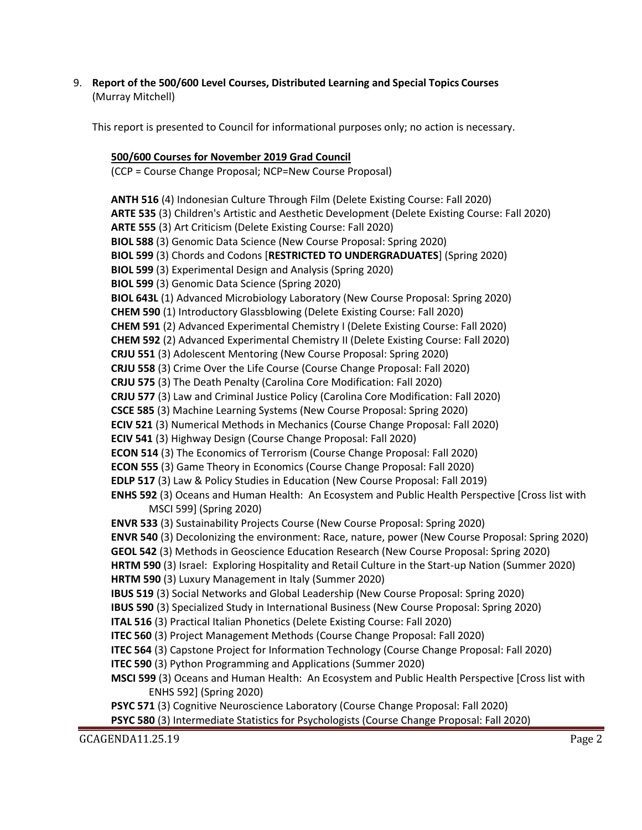9. **Report of the 500/600 Level Courses, Distributed Learning and Special Topics Courses** (Murray Mitchell)

This report is presented to Council for informational purposes only; no action is necessary.

# **500/600 Courses for November 2019 Grad Council**

(CCP = Course Change Proposal; NCP=New Course Proposal)

**ANTH 516** (4) Indonesian Culture Through Film (Delete Existing Course: Fall 2020) **ARTE 535** (3) Children's Artistic and Aesthetic Development (Delete Existing Course: Fall 2020) **ARTE 555** (3) Art Criticism (Delete Existing Course: Fall 2020) **BIOL 588** (3) Genomic Data Science (New Course Proposal: Spring 2020) **BIOL 599** (3) Chords and Codons [**RESTRICTED TO UNDERGRADUATES**] (Spring 2020) **BIOL 599** (3) Experimental Design and Analysis (Spring 2020) **BIOL 599** (3) Genomic Data Science (Spring 2020) **BIOL 643L** (1) Advanced Microbiology Laboratory (New Course Proposal: Spring 2020) **CHEM 590** (1) Introductory Glassblowing (Delete Existing Course: Fall 2020) **CHEM 591** (2) Advanced Experimental Chemistry I (Delete Existing Course: Fall 2020) **CHEM 592** (2) Advanced Experimental Chemistry II (Delete Existing Course: Fall 2020) **CRJU 551** (3) Adolescent Mentoring (New Course Proposal: Spring 2020) **CRJU 558** (3) Crime Over the Life Course (Course Change Proposal: Fall 2020) **CRJU 575** (3) The Death Penalty (Carolina Core Modification: Fall 2020) **CRJU 577** (3) Law and Criminal Justice Policy (Carolina Core Modification: Fall 2020) **CSCE 585** (3) Machine Learning Systems (New Course Proposal: Spring 2020) **ECIV 521** (3) Numerical Methods in Mechanics (Course Change Proposal: Fall 2020) **ECIV 541** (3) Highway Design (Course Change Proposal: Fall 2020) **ECON 514** (3) The Economics of Terrorism (Course Change Proposal: Fall 2020) **ECON 555** (3) Game Theory in Economics (Course Change Proposal: Fall 2020) **EDLP 517** (3) Law & Policy Studies in Education (New Course Proposal: Fall 2019) **ENHS 592** (3) Oceans and Human Health: An Ecosystem and Public Health Perspective [Cross list with MSCI 599] (Spring 2020) **ENVR 533** (3) Sustainability Projects Course (New Course Proposal: Spring 2020) **ENVR 540** (3) Decolonizing the environment: Race, nature, power (New Course Proposal: Spring 2020) **GEOL 542** (3) Methods in Geoscience Education Research (New Course Proposal: Spring 2020) **HRTM 590** (3) Israel: Exploring Hospitality and Retail Culture in the Start-up Nation (Summer 2020) **HRTM 590** (3) Luxury Management in Italy (Summer 2020) **IBUS 519** (3) Social Networks and Global Leadership (New Course Proposal: Spring 2020) **IBUS 590** (3) Specialized Study in International Business (New Course Proposal: Spring 2020) **ITAL 516** (3) Practical Italian Phonetics (Delete Existing Course: Fall 2020) **ITEC 560** (3) Project Management Methods (Course Change Proposal: Fall 2020) **ITEC 564** (3) Capstone Project for Information Technology (Course Change Proposal: Fall 2020) **ITEC 590** (3) Python Programming and Applications (Summer 2020) **MSCI 599** (3) Oceans and Human Health: An Ecosystem and Public Health Perspective [Cross list with ENHS 592] (Spring 2020) **PSYC 571** (3) Cognitive Neuroscience Laboratory (Course Change Proposal: Fall 2020) **PSYC 580** (3) Intermediate Statistics for Psychologists (Course Change Proposal: Fall 2020)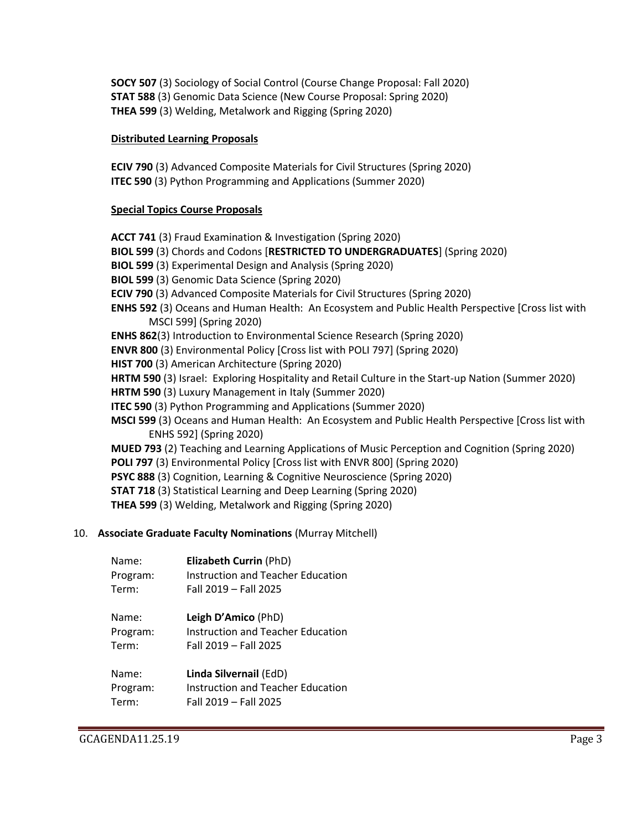**SOCY 507** (3) Sociology of Social Control (Course Change Proposal: Fall 2020) **STAT 588** (3) Genomic Data Science (New Course Proposal: Spring 2020) **THEA 599** (3) Welding, Metalwork and Rigging (Spring 2020)

#### **Distributed Learning Proposals**

**ECIV 790** (3) Advanced Composite Materials for Civil Structures (Spring 2020) **ITEC 590** (3) Python Programming and Applications (Summer 2020)

### **Special Topics Course Proposals**

**ACCT 741** (3) Fraud Examination & Investigation (Spring 2020) **BIOL 599** (3) Chords and Codons [**RESTRICTED TO UNDERGRADUATES**] (Spring 2020) **BIOL 599** (3) Experimental Design and Analysis (Spring 2020) **BIOL 599** (3) Genomic Data Science (Spring 2020) **ECIV 790** (3) Advanced Composite Materials for Civil Structures (Spring 2020) **ENHS 592** (3) Oceans and Human Health: An Ecosystem and Public Health Perspective [Cross list with MSCI 599] (Spring 2020) **ENHS 862**(3) Introduction to Environmental Science Research (Spring 2020) **ENVR 800** (3) Environmental Policy [Cross list with POLI 797] (Spring 2020) **HIST 700** (3) American Architecture (Spring 2020) **HRTM 590** (3) Israel: Exploring Hospitality and Retail Culture in the Start-up Nation (Summer 2020) **HRTM 590** (3) Luxury Management in Italy (Summer 2020) **ITEC 590** (3) Python Programming and Applications (Summer 2020) **MSCI 599** (3) Oceans and Human Health: An Ecosystem and Public Health Perspective [Cross list with ENHS 592] (Spring 2020) **MUED 793** (2) Teaching and Learning Applications of Music Perception and Cognition (Spring 2020) **POLI 797** (3) Environmental Policy [Cross list with ENVR 800] (Spring 2020) **PSYC 888** (3) Cognition, Learning & Cognitive Neuroscience (Spring 2020) **STAT 718** (3) Statistical Learning and Deep Learning (Spring 2020) **THEA 599** (3) Welding, Metalwork and Rigging (Spring 2020)

#### 10. **Associate Graduate Faculty Nominations** (Murray Mitchell)

| Name:    | Elizabeth Currin (PhD)            |
|----------|-----------------------------------|
| Program: | Instruction and Teacher Education |
| Term:    | Fall 2019 - Fall 2025             |

| Name:    | Leigh D'Amico (PhD)               |
|----------|-----------------------------------|
| Program: | Instruction and Teacher Education |
| Term:    | Fall 2019 - Fall 2025             |

| Name:    | Linda Silvernail (EdD)            |
|----------|-----------------------------------|
| Program: | Instruction and Teacher Education |
| Term:    | Fall 2019 - Fall 2025             |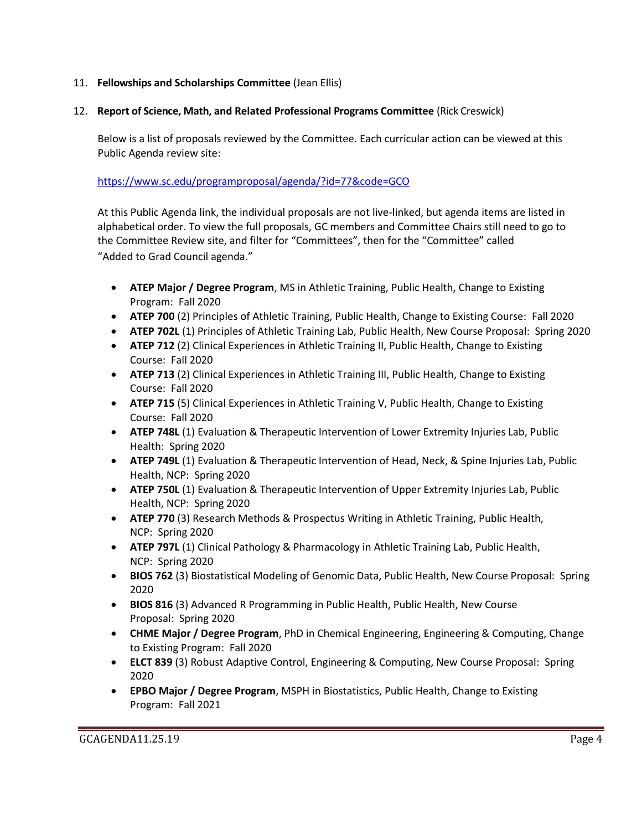# 11. **Fellowships and Scholarships Committee** (Jean Ellis)

### 12. **Report of Science, Math, and Related Professional Programs Committee** (Rick Creswick)

Below is a list of proposals reviewed by the Committee. Each curricular action can be viewed at this Public Agenda review site:

<https://www.sc.edu/programproposal/agenda/?id=77&code=GCO>

At this Public Agenda link, the individual proposals are not live-linked, but agenda items are listed in alphabetical order. To view the full proposals, GC members and Committee Chairs still need to go to the Committee Review site, and filter for "Committees", then for the "Committee" called "Added to Grad Council agenda."

- **ATEP Major / Degree Program**, MS in Athletic Training, Public Health, Change to Existing Program: Fall 2020
- **ATEP 700** (2) Principles of Athletic Training, Public Health, Change to Existing Course: Fall 2020
- **ATEP 702L** (1) Principles of Athletic Training Lab, Public Health, New Course Proposal: Spring 2020
- **ATEP 712** (2) Clinical Experiences in Athletic Training II, Public Health, Change to Existing Course: Fall 2020
- **ATEP 713** (2) Clinical Experiences in Athletic Training III, Public Health, Change to Existing Course: Fall 2020
- **ATEP 715** (5) Clinical Experiences in Athletic Training V, Public Health, Change to Existing Course: Fall 2020
- **ATEP 748L** (1) Evaluation & Therapeutic Intervention of Lower Extremity Injuries Lab, Public Health: Spring 2020
- **ATEP 749L** (1) Evaluation & Therapeutic Intervention of Head, Neck, & Spine Injuries Lab, Public Health, NCP: Spring 2020
- **ATEP 750L** (1) Evaluation & Therapeutic Intervention of Upper Extremity Injuries Lab, Public Health, NCP: Spring 2020
- **ATEP 770** (3) Research Methods & Prospectus Writing in Athletic Training, Public Health, NCP: Spring 2020
- **ATEP 797L** (1) Clinical Pathology & Pharmacology in Athletic Training Lab, Public Health, NCP: Spring 2020
- **BIOS 762** (3) Biostatistical Modeling of Genomic Data, Public Health, New Course Proposal: Spring 2020
- **BIOS 816** (3) Advanced R Programming in Public Health, Public Health, New Course Proposal: Spring 2020
- **CHME Major / Degree Program**, PhD in Chemical Engineering, Engineering & Computing, Change to Existing Program: Fall 2020
- **ELCT 839** (3) Robust Adaptive Control, Engineering & Computing, New Course Proposal: Spring 2020
- **EPBO Major / Degree Program**, MSPH in Biostatistics, Public Health, Change to Existing Program: Fall 2021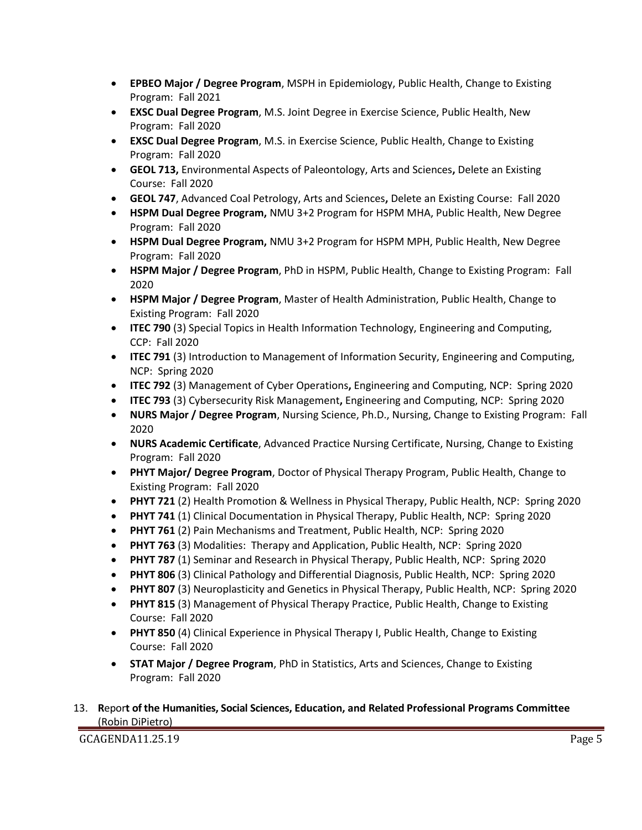- **EPBEO Major / Degree Program**, MSPH in Epidemiology, Public Health, Change to Existing Program: Fall 2021
- **EXSC Dual Degree Program**, M.S. Joint Degree in Exercise Science, Public Health, New Program: Fall 2020
- **EXSC Dual Degree Program**, M.S. in Exercise Science, Public Health, Change to Existing Program: Fall 2020
- **GEOL 713,** Environmental Aspects of Paleontology, Arts and Sciences**,** Delete an Existing Course: Fall 2020
- **GEOL 747**, Advanced Coal Petrology, Arts and Sciences**,** Delete an Existing Course: Fall 2020
- **HSPM Dual Degree Program,** NMU 3+2 Program for HSPM MHA, Public Health, New Degree Program: Fall 2020
- **HSPM Dual Degree Program,** NMU 3+2 Program for HSPM MPH, Public Health, New Degree Program: Fall 2020
- **HSPM Major / Degree Program**, PhD in HSPM, Public Health, Change to Existing Program: Fall 2020
- **HSPM Major / Degree Program**, Master of Health Administration, Public Health, Change to Existing Program: Fall 2020
- **ITEC 790** (3) Special Topics in Health Information Technology, Engineering and Computing, CCP: Fall 2020
- **ITEC 791** (3) Introduction to Management of Information Security, Engineering and Computing, NCP: Spring 2020
- **ITEC 792** (3) Management of Cyber Operations**,** Engineering and Computing, NCP: Spring 2020
- **ITEC 793** (3) Cybersecurity Risk Management**,** Engineering and Computing, NCP: Spring 2020
- **NURS Major / Degree Program**, Nursing Science, Ph.D., Nursing, Change to Existing Program: Fall 2020
- **NURS Academic Certificate**, Advanced Practice Nursing Certificate, Nursing, Change to Existing Program: Fall 2020
- **PHYT Major/ Degree Program**, Doctor of Physical Therapy Program, Public Health, Change to Existing Program: Fall 2020
- **PHYT 721** (2) Health Promotion & Wellness in Physical Therapy, Public Health, NCP: Spring 2020
- **PHYT 741** (1) Clinical Documentation in Physical Therapy, Public Health, NCP: Spring 2020
- **PHYT 761** (2) Pain Mechanisms and Treatment, Public Health, NCP: Spring 2020
- **PHYT 763** (3) Modalities: Therapy and Application, Public Health, NCP: Spring 2020
- **PHYT 787** (1) Seminar and Research in Physical Therapy, Public Health, NCP: Spring 2020
- **PHYT 806** (3) Clinical Pathology and Differential Diagnosis, Public Health, NCP: Spring 2020
- **PHYT 807** (3) Neuroplasticity and Genetics in Physical Therapy, Public Health, NCP: Spring 2020
- **PHYT 815** (3) Management of Physical Therapy Practice, Public Health, Change to Existing Course: Fall 2020
- **PHYT 850** (4) Clinical Experience in Physical Therapy I, Public Health, Change to Existing Course: Fall 2020
- **STAT Major / Degree Program**, PhD in Statistics, Arts and Sciences, Change to Existing Program: Fall 2020
- 13. **R**epor**t of the Humanities, Social Sciences, Education, and Related Professional Programs Committee**  (Robin DiPietro)

GCAGENDA11.25.19 Page 5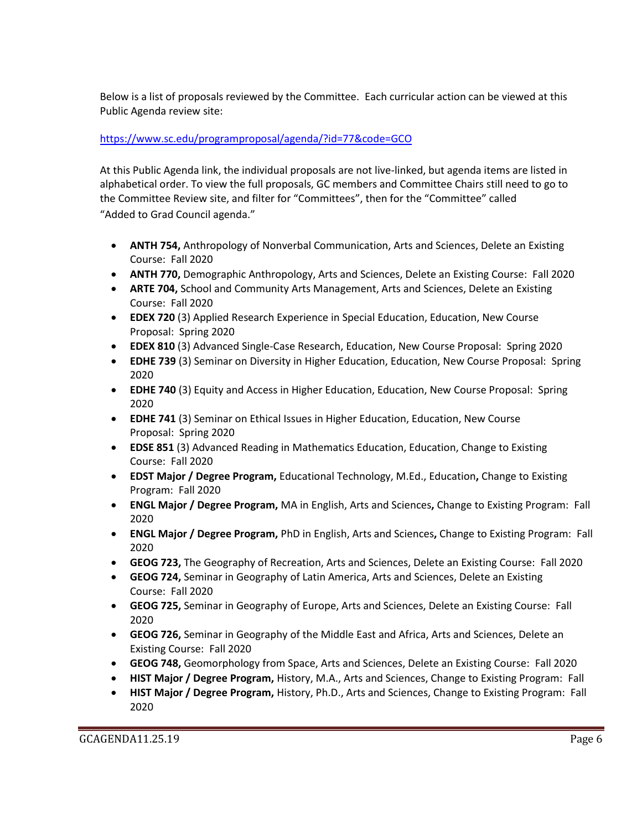Below is a list of proposals reviewed by the Committee. Each curricular action can be viewed at this Public Agenda review site:

# <https://www.sc.edu/programproposal/agenda/?id=77&code=GCO>

At this Public Agenda link, the individual proposals are not live-linked, but agenda items are listed in alphabetical order. To view the full proposals, GC members and Committee Chairs still need to go to the Committee Review site, and filter for "Committees", then for the "Committee" called "Added to Grad Council agenda."

- **ANTH 754,** Anthropology of Nonverbal Communication, Arts and Sciences, Delete an Existing Course: Fall 2020
- **ANTH 770,** Demographic Anthropology, Arts and Sciences, Delete an Existing Course: Fall 2020
- **ARTE 704,** School and Community Arts Management, Arts and Sciences, Delete an Existing Course: Fall 2020
- **EDEX 720** (3) Applied Research Experience in Special Education, Education, New Course Proposal: Spring 2020
- **EDEX 810** (3) Advanced Single-Case Research, Education, New Course Proposal: Spring 2020
- **EDHE 739** (3) Seminar on Diversity in Higher Education, Education, New Course Proposal: Spring 2020
- **EDHE 740** (3) Equity and Access in Higher Education, Education, New Course Proposal: Spring 2020
- **EDHE 741** (3) Seminar on Ethical Issues in Higher Education, Education, New Course Proposal: Spring 2020
- **EDSE 851** (3) Advanced Reading in Mathematics Education, Education, Change to Existing Course: Fall 2020
- **EDST Major / Degree Program,** Educational Technology, M.Ed., Education**,** Change to Existing Program: Fall 2020
- **ENGL Major / Degree Program,** MA in English, Arts and Sciences**,** Change to Existing Program: Fall 2020
- **ENGL Major / Degree Program,** PhD in English, Arts and Sciences**,** Change to Existing Program: Fall 2020
- **GEOG 723,** The Geography of Recreation, Arts and Sciences, Delete an Existing Course: Fall 2020
- **GEOG 724,** Seminar in Geography of Latin America, Arts and Sciences, Delete an Existing Course: Fall 2020
- **GEOG 725,** Seminar in Geography of Europe, Arts and Sciences, Delete an Existing Course: Fall 2020
- **GEOG 726,** Seminar in Geography of the Middle East and Africa, Arts and Sciences, Delete an Existing Course: Fall 2020
- **GEOG 748,** Geomorphology from Space, Arts and Sciences, Delete an Existing Course: Fall 2020
- **HIST Major / Degree Program,** History, M.A., Arts and Sciences, Change to Existing Program: Fall
- **HIST Major / Degree Program,** History, Ph.D., Arts and Sciences, Change to Existing Program: Fall 2020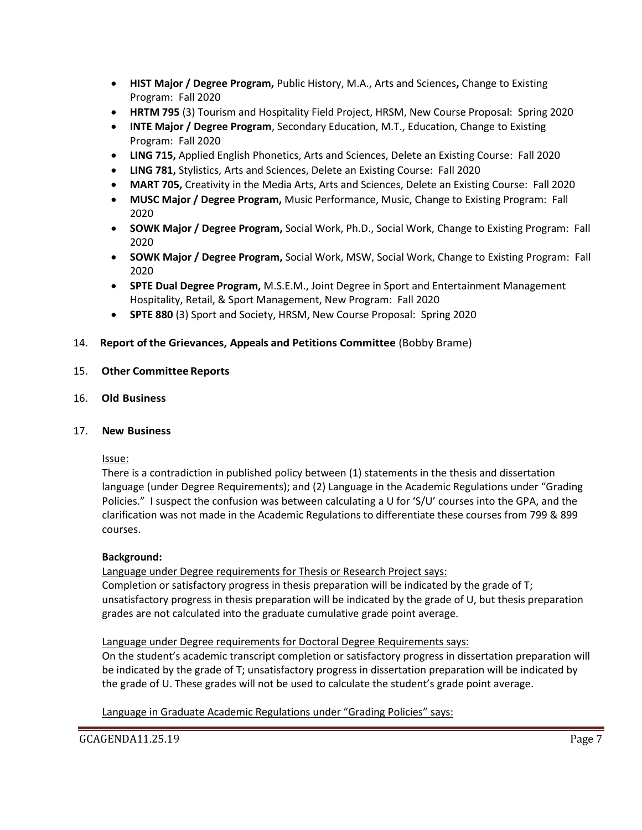- **HIST Major / Degree Program,** Public History, M.A., Arts and Sciences**,** Change to Existing Program: Fall 2020
- **HRTM 795** (3) Tourism and Hospitality Field Project, HRSM, New Course Proposal: Spring 2020
- **INTE Major / Degree Program**, Secondary Education, M.T., Education, Change to Existing Program: Fall 2020
- **LING 715,** Applied English Phonetics, Arts and Sciences, Delete an Existing Course: Fall 2020
- **LING 781,** Stylistics, Arts and Sciences, Delete an Existing Course: Fall 2020
- **MART 705,** Creativity in the Media Arts, Arts and Sciences, Delete an Existing Course: Fall 2020
- **MUSC Major / Degree Program,** Music Performance, Music, Change to Existing Program: Fall 2020
- **SOWK Major / Degree Program,** Social Work, Ph.D., Social Work, Change to Existing Program: Fall 2020
- **SOWK Major / Degree Program,** Social Work, MSW, Social Work, Change to Existing Program: Fall 2020
- **SPTE Dual Degree Program,** M.S.E.M., Joint Degree in Sport and Entertainment Management Hospitality, Retail, & Sport Management, New Program: Fall 2020
- **SPTE 880** (3) Sport and Society, HRSM, New Course Proposal: Spring 2020

# 14. **Report of the Grievances, Appeals and Petitions Committee** (Bobby Brame)

- 15. **Other Committee Reports**
- 16. **Old Business**

#### 17. **New Business**

#### Issue:

There is a contradiction in published policy between (1) statements in the thesis and dissertation language (under Degree Requirements); and (2) Language in the Academic Regulations under "Grading Policies." I suspect the confusion was between calculating a U for 'S/U' courses into the GPA, and the clarification was not made in the Academic Regulations to differentiate these courses from 799 & 899 courses.

# **Background:**

Language under Degree requirements for Thesis or Research Project says:

Completion or satisfactory progress in thesis preparation will be indicated by the grade of T; unsatisfactory progress in thesis preparation will be indicated by the grade of U, but thesis preparation grades are not calculated into the graduate cumulative grade point average.

# Language under Degree requirements for Doctoral Degree Requirements says:

On the student's academic transcript completion or satisfactory progress in dissertation preparation will be indicated by the grade of T; unsatisfactory progress in dissertation preparation will be indicated by the grade of U. These grades will not be used to calculate the student's grade point average.

Language in Graduate Academic Regulations under "Grading Policies" says: